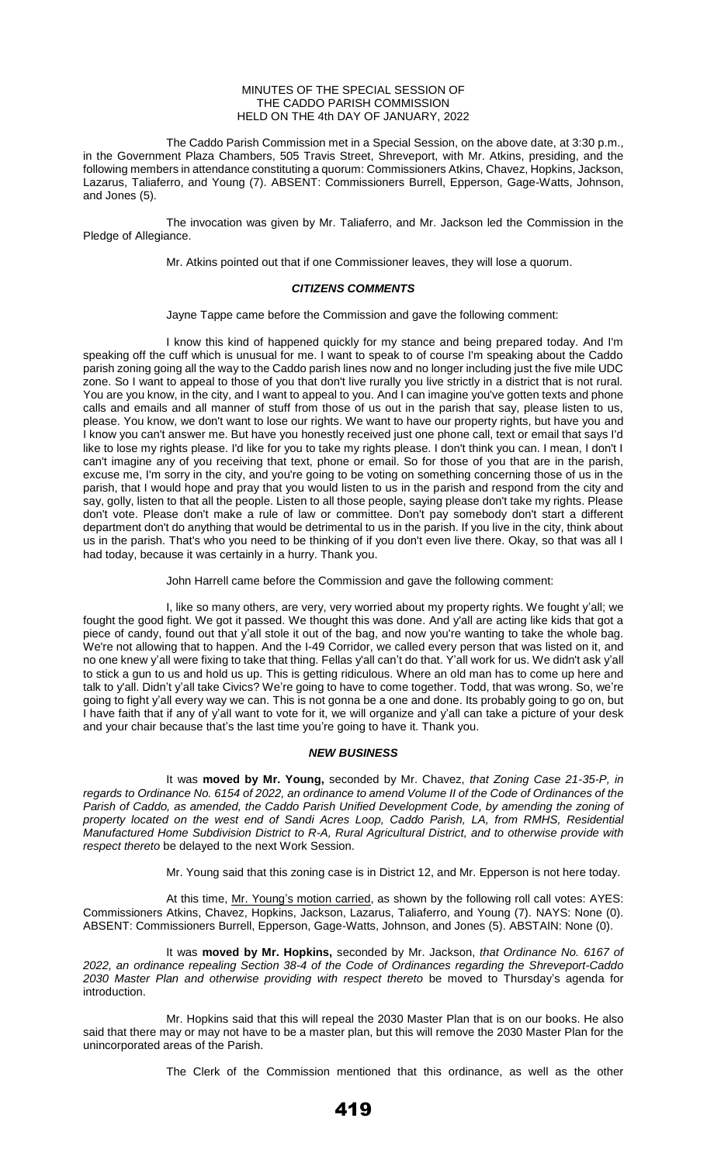#### MINUTES OF THE SPECIAL SESSION OF THE CADDO PARISH COMMISSION HELD ON THE 4th DAY OF JANUARY, 2022

The Caddo Parish Commission met in a Special Session, on the above date, at 3:30 p.m., in the Government Plaza Chambers, 505 Travis Street, Shreveport, with Mr. Atkins, presiding, and the following members in attendance constituting a quorum: Commissioners Atkins, Chavez, Hopkins, Jackson, Lazarus, Taliaferro, and Young (7). ABSENT: Commissioners Burrell, Epperson, Gage-Watts, Johnson, and Jones (5).

The invocation was given by Mr. Taliaferro, and Mr. Jackson led the Commission in the Pledge of Allegiance.

Mr. Atkins pointed out that if one Commissioner leaves, they will lose a quorum.

# *CITIZENS COMMENTS*

Jayne Tappe came before the Commission and gave the following comment:

I know this kind of happened quickly for my stance and being prepared today. And I'm speaking off the cuff which is unusual for me. I want to speak to of course I'm speaking about the Caddo parish zoning going all the way to the Caddo parish lines now and no longer including just the five mile UDC zone. So I want to appeal to those of you that don't live rurally you live strictly in a district that is not rural. You are you know, in the city, and I want to appeal to you. And I can imagine you've gotten texts and phone calls and emails and all manner of stuff from those of us out in the parish that say, please listen to us, please. You know, we don't want to lose our rights. We want to have our property rights, but have you and .<br>I know you can't answer me. But have you honestly received just one phone call, text or email that says I'd like to lose my rights please. I'd like for you to take my rights please. I don't think you can. I mean, I don't I can't imagine any of you receiving that text, phone or email. So for those of you that are in the parish, excuse me, I'm sorry in the city, and you're going to be voting on something concerning those of us in the parish, that I would hope and pray that you would listen to us in the parish and respond from the city and say, golly, listen to that all the people. Listen to all those people, saying please don't take my rights. Please don't vote. Please don't make a rule of law or committee. Don't pay somebody don't start a different department don't do anything that would be detrimental to us in the parish. If you live in the city, think about us in the parish. That's who you need to be thinking of if you don't even live there. Okay, so that was all I had today, because it was certainly in a hurry. Thank you.

John Harrell came before the Commission and gave the following comment:

I, like so many others, are very, very worried about my property rights. We fought y'all; we fought the good fight. We got it passed. We thought this was done. And y'all are acting like kids that got a piece of candy, found out that y'all stole it out of the bag, and now you're wanting to take the whole bag. We're not allowing that to happen. And the I-49 Corridor, we called every person that was listed on it, and no one knew y'all were fixing to take that thing. Fellas y'all can't do that. Y'all work for us. We didn't ask y'all to stick a gun to us and hold us up. This is getting ridiculous. Where an old man has to come up here and talk to y'all. Didn't y'all take Civics? We're going to have to come together. Todd, that was wrong. So, we're going to fight y'all every way we can. This is not gonna be a one and done. Its probably going to go on, but I have faith that if any of y'all want to vote for it, we will organize and y'all can take a picture of your desk and your chair because that's the last time you're going to have it. Thank you.

# *NEW BUSINESS*

It was **moved by Mr. Young,** seconded by Mr. Chavez, *that Zoning Case 21-35-P, in regards to Ordinance No. 6154 of 2022, an ordinance to amend Volume II of the Code of Ordinances of the*  Parish of Caddo, as amended, the Caddo Parish Unified Development Code, by amending the zoning of *property located on the west end of Sandi Acres Loop, Caddo Parish, LA, from RMHS, Residential Manufactured Home Subdivision District to R-A, Rural Agricultural District, and to otherwise provide with respect thereto* be delayed to the next Work Session.

Mr. Young said that this zoning case is in District 12, and Mr. Epperson is not here today.

At this time, Mr. Young's motion carried, as shown by the following roll call votes: AYES: Commissioners Atkins, Chavez, Hopkins, Jackson, Lazarus, Taliaferro, and Young (7). NAYS: None (0). ABSENT: Commissioners Burrell, Epperson, Gage-Watts, Johnson, and Jones (5). ABSTAIN: None (0).

It was **moved by Mr. Hopkins,** seconded by Mr. Jackson, *that Ordinance No. 6167 of 2022, an ordinance repealing Section 38-4 of the Code of Ordinances regarding the Shreveport-Caddo 2030 Master Plan and otherwise providing with respect thereto* be moved to Thursday's agenda for introduction.

Mr. Hopkins said that this will repeal the 2030 Master Plan that is on our books. He also said that there may or may not have to be a master plan, but this will remove the 2030 Master Plan for the unincorporated areas of the Parish.

The Clerk of the Commission mentioned that this ordinance, as well as the other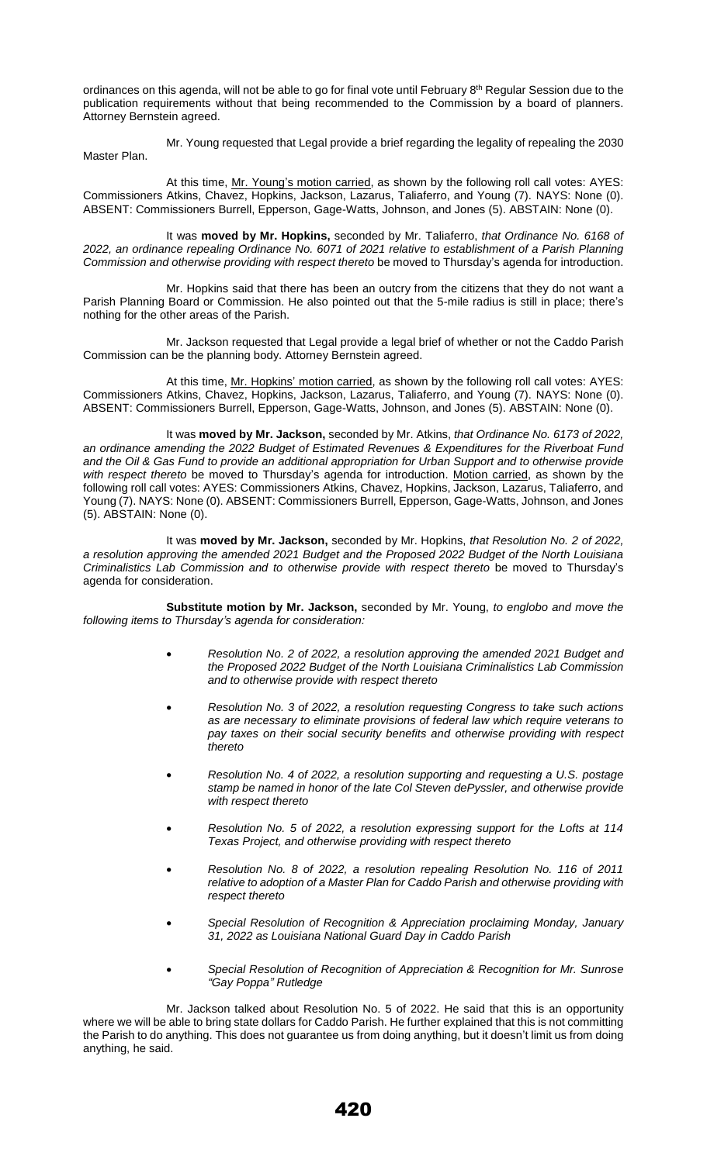ordinances on this agenda, will not be able to go for final vote until February 8<sup>th</sup> Regular Session due to the publication requirements without that being recommended to the Commission by a board of planners. Attorney Bernstein agreed.

Mr. Young requested that Legal provide a brief regarding the legality of repealing the 2030 Master Plan.

At this time, Mr. Young's motion carried, as shown by the following roll call votes: AYES: Commissioners Atkins, Chavez, Hopkins, Jackson, Lazarus, Taliaferro, and Young (7). NAYS: None (0). ABSENT: Commissioners Burrell, Epperson, Gage-Watts, Johnson, and Jones (5). ABSTAIN: None (0).

It was **moved by Mr. Hopkins,** seconded by Mr. Taliaferro, *that Ordinance No. 6168 of 2022, an ordinance repealing Ordinance No. 6071 of 2021 relative to establishment of a Parish Planning Commission and otherwise providing with respect thereto* be moved to Thursday's agenda for introduction.

Mr. Hopkins said that there has been an outcry from the citizens that they do not want a Parish Planning Board or Commission. He also pointed out that the 5-mile radius is still in place; there's nothing for the other areas of the Parish.

Mr. Jackson requested that Legal provide a legal brief of whether or not the Caddo Parish Commission can be the planning body. Attorney Bernstein agreed.

At this time, Mr. Hopkins' motion carried, as shown by the following roll call votes: AYES: Commissioners Atkins, Chavez, Hopkins, Jackson, Lazarus, Taliaferro, and Young (7). NAYS: None (0). ABSENT: Commissioners Burrell, Epperson, Gage-Watts, Johnson, and Jones (5). ABSTAIN: None (0).

It was **moved by Mr. Jackson,** seconded by Mr. Atkins, *that Ordinance No. 6173 of 2022, an ordinance amending the 2022 Budget of Estimated Revenues & Expenditures for the Riverboat Fund and the Oil & Gas Fund to provide an additional appropriation for Urban Support and to otherwise provide with respect thereto* be moved to Thursday's agenda for introduction. Motion carried, as shown by the following roll call votes: AYES: Commissioners Atkins, Chavez, Hopkins, Jackson, Lazarus, Taliaferro, and Young (7). NAYS: None (0). ABSENT: Commissioners Burrell, Epperson, Gage-Watts, Johnson, and Jones (5). ABSTAIN: None (0).

It was **moved by Mr. Jackson,** seconded by Mr. Hopkins, *that Resolution No. 2 of 2022, a resolution approving the amended 2021 Budget and the Proposed 2022 Budget of the North Louisiana Criminalistics Lab Commission and to otherwise provide with respect thereto* be moved to Thursday's agenda for consideration.

**Substitute motion by Mr. Jackson,** seconded by Mr. Young, *to englobo and move the following items to Thursday's agenda for consideration:* 

- *Resolution No. 2 of 2022, a resolution approving the amended 2021 Budget and the Proposed 2022 Budget of the North Louisiana Criminalistics Lab Commission and to otherwise provide with respect thereto*
- *Resolution No. 3 of 2022, a resolution requesting Congress to take such actions as are necessary to eliminate provisions of federal law which require veterans to pay taxes on their social security benefits and otherwise providing with respect thereto*
- *Resolution No. 4 of 2022, a resolution supporting and requesting a U.S. postage stamp be named in honor of the late Col Steven dePyssler, and otherwise provide with respect thereto*
- *Resolution No. 5 of 2022, a resolution expressing support for the Lofts at 114 Texas Project, and otherwise providing with respect thereto*
- *Resolution No. 8 of 2022, a resolution repealing Resolution No. 116 of 2011 relative to adoption of a Master Plan for Caddo Parish and otherwise providing with respect thereto*
- *Special Resolution of Recognition & Appreciation proclaiming Monday, January 31, 2022 as Louisiana National Guard Day in Caddo Parish*
- *Special Resolution of Recognition of Appreciation & Recognition for Mr. Sunrose "Gay Poppa" Rutledge*

Mr. Jackson talked about Resolution No. 5 of 2022. He said that this is an opportunity where we will be able to bring state dollars for Caddo Parish. He further explained that this is not committing the Parish to do anything. This does not guarantee us from doing anything, but it doesn't limit us from doing anything, he said.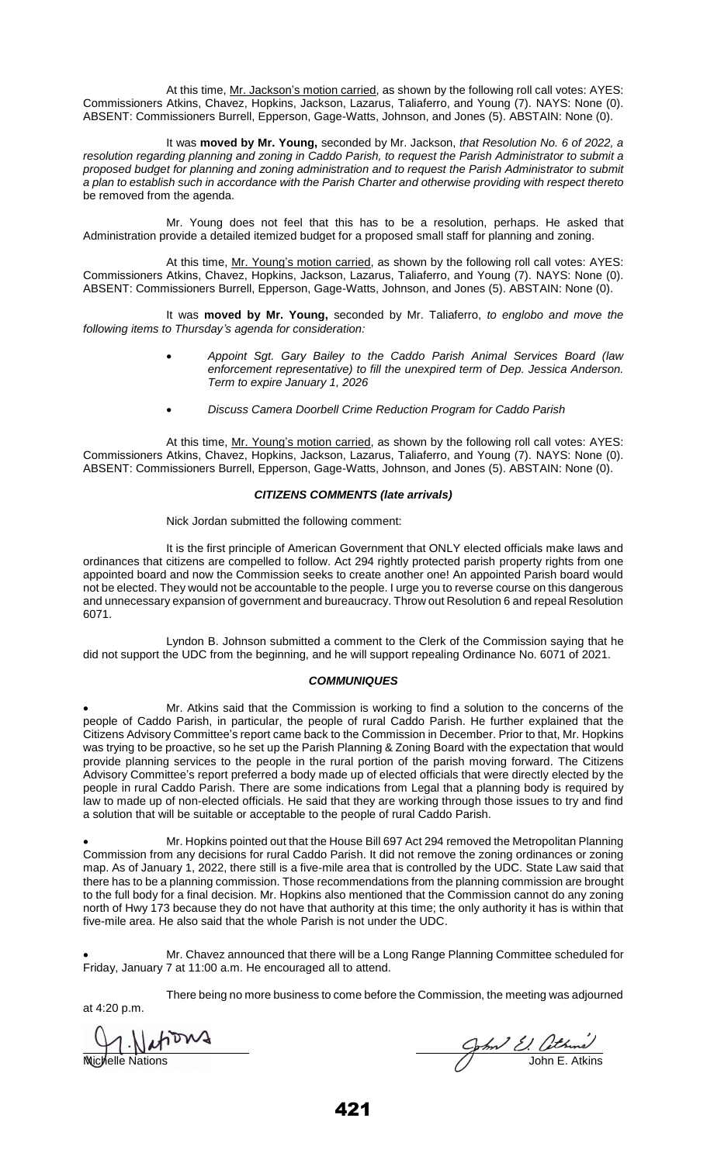At this time, Mr. Jackson's motion carried, as shown by the following roll call votes: AYES: Commissioners Atkins, Chavez, Hopkins, Jackson, Lazarus, Taliaferro, and Young (7). NAYS: None (0). ABSENT: Commissioners Burrell, Epperson, Gage-Watts, Johnson, and Jones (5). ABSTAIN: None (0).

It was **moved by Mr. Young,** seconded by Mr. Jackson, *that Resolution No. 6 of 2022, a resolution regarding planning and zoning in Caddo Parish, to request the Parish Administrator to submit a proposed budget for planning and zoning administration and to request the Parish Administrator to submit a plan to establish such in accordance with the Parish Charter and otherwise providing with respect thereto*  be removed from the agenda.

Mr. Young does not feel that this has to be a resolution, perhaps. He asked that Administration provide a detailed itemized budget for a proposed small staff for planning and zoning.

At this time, Mr. Young's motion carried, as shown by the following roll call votes: AYES: Commissioners Atkins, Chavez, Hopkins, Jackson, Lazarus, Taliaferro, and Young (7). NAYS: None (0). ABSENT: Commissioners Burrell, Epperson, Gage-Watts, Johnson, and Jones (5). ABSTAIN: None (0).

It was **moved by Mr. Young,** seconded by Mr. Taliaferro, *to englobo and move the following items to Thursday's agenda for consideration:* 

- *Appoint Sgt. Gary Bailey to the Caddo Parish Animal Services Board (law enforcement representative) to fill the unexpired term of Dep. Jessica Anderson. Term to expire January 1, 2026*
- *Discuss Camera Doorbell Crime Reduction Program for Caddo Parish*

At this time, Mr. Young's motion carried, as shown by the following roll call votes: AYES: Commissioners Atkins, Chavez, Hopkins, Jackson, Lazarus, Taliaferro, and Young (7). NAYS: None (0). ABSENT: Commissioners Burrell, Epperson, Gage-Watts, Johnson, and Jones (5). ABSTAIN: None (0).

### *CITIZENS COMMENTS (late arrivals)*

Nick Jordan submitted the following comment:

It is the first principle of American Government that ONLY elected officials make laws and ordinances that citizens are compelled to follow. Act 294 rightly protected parish property rights from one appointed board and now the Commission seeks to create another one! An appointed Parish board would not be elected. They would not be accountable to the people. I urge you to reverse course on this dangerous and unnecessary expansion of government and bureaucracy. Throw out Resolution 6 and repeal Resolution 6071.

Lyndon B. Johnson submitted a comment to the Clerk of the Commission saying that he did not support the UDC from the beginning, and he will support repealing Ordinance No. 6071 of 2021.

# *COMMUNIQUES*

• Mr. Atkins said that the Commission is working to find a solution to the concerns of the people of Caddo Parish, in particular, the people of rural Caddo Parish. He further explained that the Citizens Advisory Committee's report came back to the Commission in December. Prior to that, Mr. Hopkins was trying to be proactive, so he set up the Parish Planning & Zoning Board with the expectation that would provide planning services to the people in the rural portion of the parish moving forward. The Citizens Advisory Committee's report preferred a body made up of elected officials that were directly elected by the people in rural Caddo Parish. There are some indications from Legal that a planning body is required by law to made up of non-elected officials. He said that they are working through those issues to try and find a solution that will be suitable or acceptable to the people of rural Caddo Parish.

• Mr. Hopkins pointed out that the House Bill 697 Act 294 removed the Metropolitan Planning Commission from any decisions for rural Caddo Parish. It did not remove the zoning ordinances or zoning map. As of January 1, 2022, there still is a five-mile area that is controlled by the UDC. State Law said that there has to be a planning commission. Those recommendations from the planning commission are brought to the full body for a final decision. Mr. Hopkins also mentioned that the Commission cannot do any zoning north of Hwy 173 because they do not have that authority at this time; the only authority it has is within that five-mile area. He also said that the whole Parish is not under the UDC.

• Mr. Chavez announced that there will be a Long Range Planning Committee scheduled for Friday, January 7 at 11:00 a.m. He encouraged all to attend.

There being no more business to come before the Commission, the meeting was adjourned

1. Nations

at 4:20 p.m.

Michelle Nations 30th BM3<br>Nichelle Nations John E. Atkins